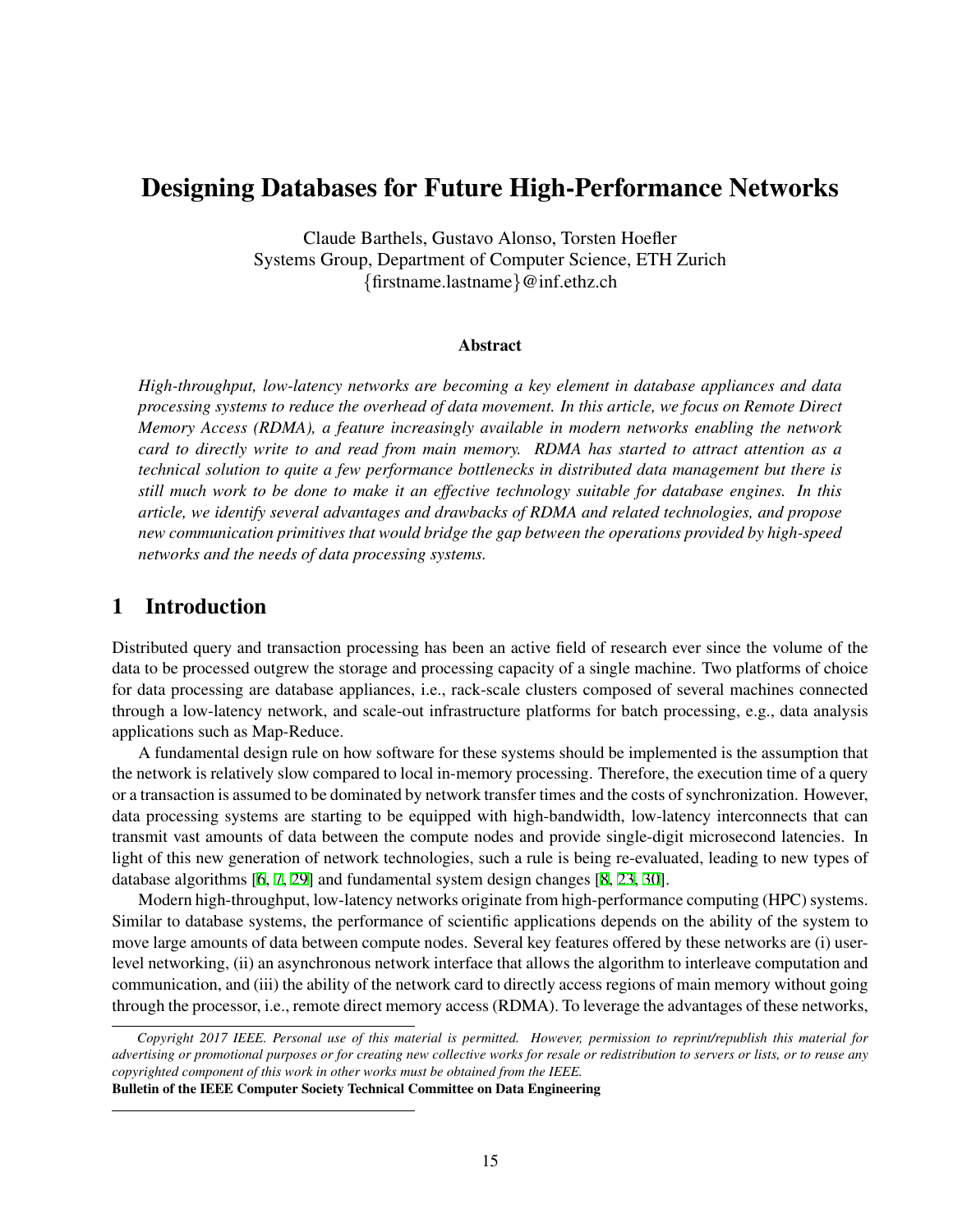# Designing Databases for Future High-Performance Networks

Claude Barthels, Gustavo Alonso, Torsten Hoefler Systems Group, Department of Computer Science, ETH Zurich *{*firstname.lastname*}*@inf.ethz.ch

#### Abstract

*High-throughput, low-latency networks are becoming a key element in database appliances and data processing systems to reduce the overhead of data movement. In this article, we focus on Remote Direct Memory Access (RDMA), a feature increasingly available in modern networks enabling the network card to directly write to and read from main memory. RDMA has started to attract attention as a technical solution to quite a few performance bottlenecks in distributed data management but there is still much work to be done to make it an effective technology suitable for database engines. In this article, we identify several advantages and drawbacks of RDMA and related technologies, and propose new communication primitives that would bridge the gap between the operations provided by high-speed networks and the needs of data processing systems.*

### 1 Introduction

Distributed query and transaction processing has been an active field of research ever since the volume of the data to be processed outgrew the storage and processing capacity of a single machine. Two platforms of choice for data processing are database appliances, i.e., rack-scale clusters composed of several machines connected through a low-latency network, and scale-out infrastructure platforms for batch processing, e.g., data analysis applications such as Map-Reduce.

A fundamental design rule on how software for these systems should be implemented is the assumption that the network is relatively slow compared to local in-memory processing. Therefore, the execution time of a query or a transaction is assumed to be dominated by network transfer times and the costs of synchronization. However, data processing systems are starting to be equipped with high-bandwidth, low-latency interconnects that can transmit vast amounts of data between the compute nodes and provide single-digit microsecond latencies. In light of this new generation of network technologies, such a rule is being re-evaluated, leading to new types of database algorithms [\[6,](#page-10-0) [7,](#page-11-0) [29](#page-11-1)] and fundamental system design changes [[8](#page-11-2), [23,](#page-11-3) [30](#page-11-4)].

Modern high-throughput, low-latency networks originate from high-performance computing (HPC) systems. Similar to database systems, the performance of scientific applications depends on the ability of the system to move large amounts of data between compute nodes. Several key features offered by these networks are (i) userlevel networking, (ii) an asynchronous network interface that allows the algorithm to interleave computation and communication, and (iii) the ability of the network card to directly access regions of main memory without going through the processor, i.e., remote direct memory access (RDMA). To leverage the advantages of these networks,

*Copyright 2017 IEEE. Personal use of this material is permitted. However, permission to reprint/republish this material for advertising or promotional purposes or for creating new collective works for resale or redistribution to servers or lists, or to reuse any copyrighted component of this work in other works must be obtained from the IEEE.* Bulletin of the IEEE Computer Society Technical Committee on Data Engineering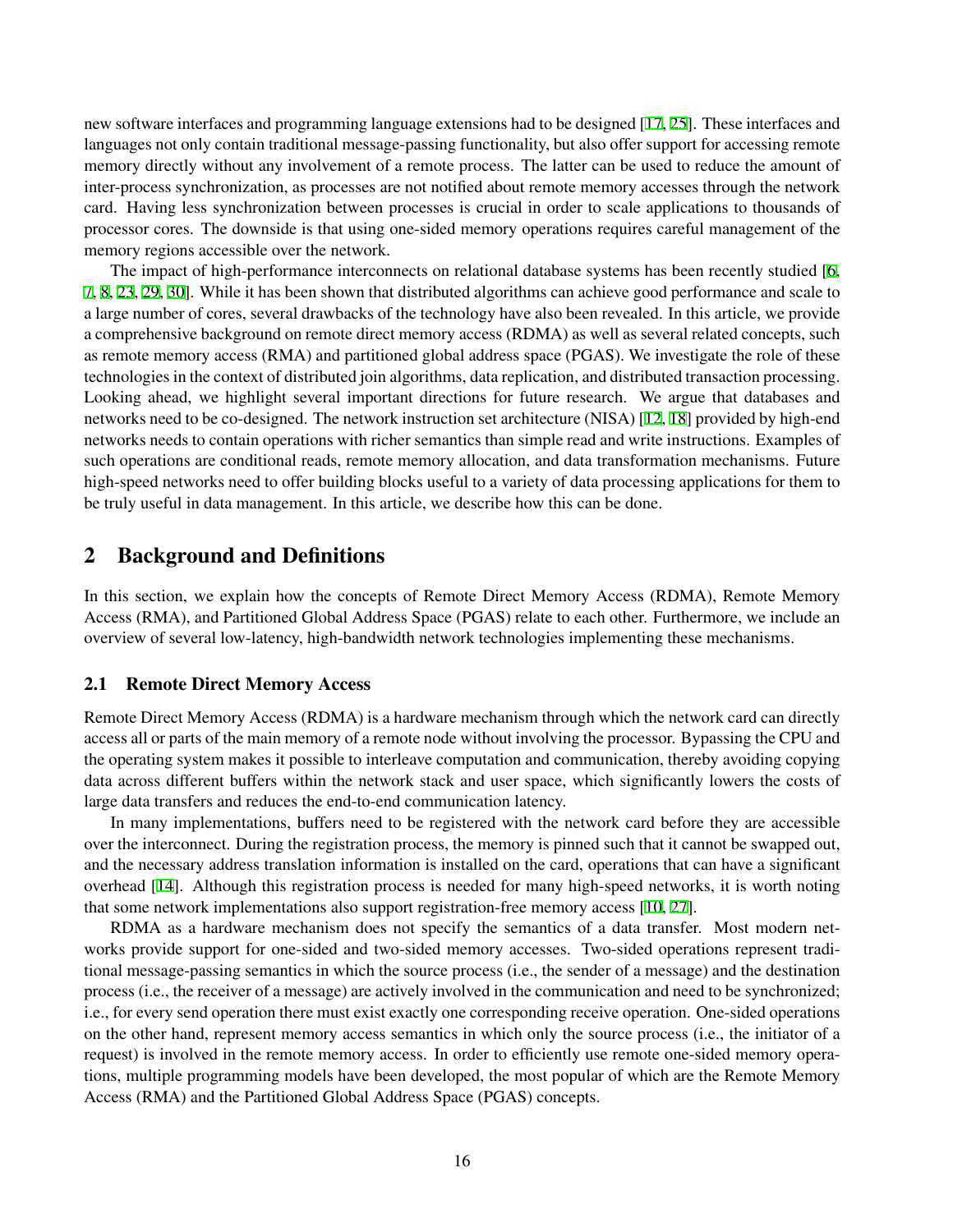new software interfaces and programming language extensions had to be designed [[17,](#page-11-5) [25\]](#page-11-6). These interfaces and languages not only contain traditional message-passing functionality, but also offer support for accessing remote memory directly without any involvement of a remote process. The latter can be used to reduce the amount of inter-process synchronization, as processes are not notified about remote memory accesses through the network card. Having less synchronization between processes is crucial in order to scale applications to thousands of processor cores. The downside is that using one-sided memory operations requires careful management of the memory regions accessible over the network.

The impact of high-performance interconnects on relational database systems has been recently studied [[6](#page-10-0), [7](#page-11-0), [8](#page-11-2), [23](#page-11-3), [29](#page-11-1), [30\]](#page-11-4). While it has been shown that distributed algorithms can achieve good performance and scale to a large number of cores, several drawbacks of the technology have also been revealed. In this article, we provide a comprehensive background on remote direct memory access (RDMA) as well as several related concepts, such as remote memory access (RMA) and partitioned global address space (PGAS). We investigate the role of these technologies in the context of distributed join algorithms, data replication, and distributed transaction processing. Looking ahead, we highlight several important directions for future research. We argue that databases and networks need to be co-designed. The network instruction set architecture (NISA) [\[12](#page-11-7), [18](#page-11-8)] provided by high-end networks needs to contain operations with richer semantics than simple read and write instructions. Examples of such operations are conditional reads, remote memory allocation, and data transformation mechanisms. Future high-speed networks need to offer building blocks useful to a variety of data processing applications for them to be truly useful in data management. In this article, we describe how this can be done.

### 2 Background and Definitions

In this section, we explain how the concepts of Remote Direct Memory Access (RDMA), Remote Memory Access (RMA), and Partitioned Global Address Space (PGAS) relate to each other. Furthermore, we include an overview of several low-latency, high-bandwidth network technologies implementing these mechanisms.

#### 2.1 Remote Direct Memory Access

Remote Direct Memory Access (RDMA) is a hardware mechanism through which the network card can directly access all or parts of the main memory of a remote node without involving the processor. Bypassing the CPU and the operating system makes it possible to interleave computation and communication, thereby avoiding copying data across different buffers within the network stack and user space, which significantly lowers the costs of large data transfers and reduces the end-to-end communication latency.

In many implementations, buffers need to be registered with the network card before they are accessible over the interconnect. During the registration process, the memory is pinned such that it cannot be swapped out, and the necessary address translation information is installed on the card, operations that can have a significant overhead [[14\]](#page-11-9). Although this registration process is needed for many high-speed networks, it is worth noting that some network implementations also support registration-free memory access [[10](#page-11-10), [27\]](#page-11-11).

RDMA as a hardware mechanism does not specify the semantics of a data transfer. Most modern networks provide support for one-sided and two-sided memory accesses. Two-sided operations represent traditional message-passing semantics in which the source process (i.e., the sender of a message) and the destination process (i.e., the receiver of a message) are actively involved in the communication and need to be synchronized; i.e., for every send operation there must exist exactly one corresponding receive operation. One-sided operations on the other hand, represent memory access semantics in which only the source process (i.e., the initiator of a request) is involved in the remote memory access. In order to efficiently use remote one-sided memory operations, multiple programming models have been developed, the most popular of which are the Remote Memory Access (RMA) and the Partitioned Global Address Space (PGAS) concepts.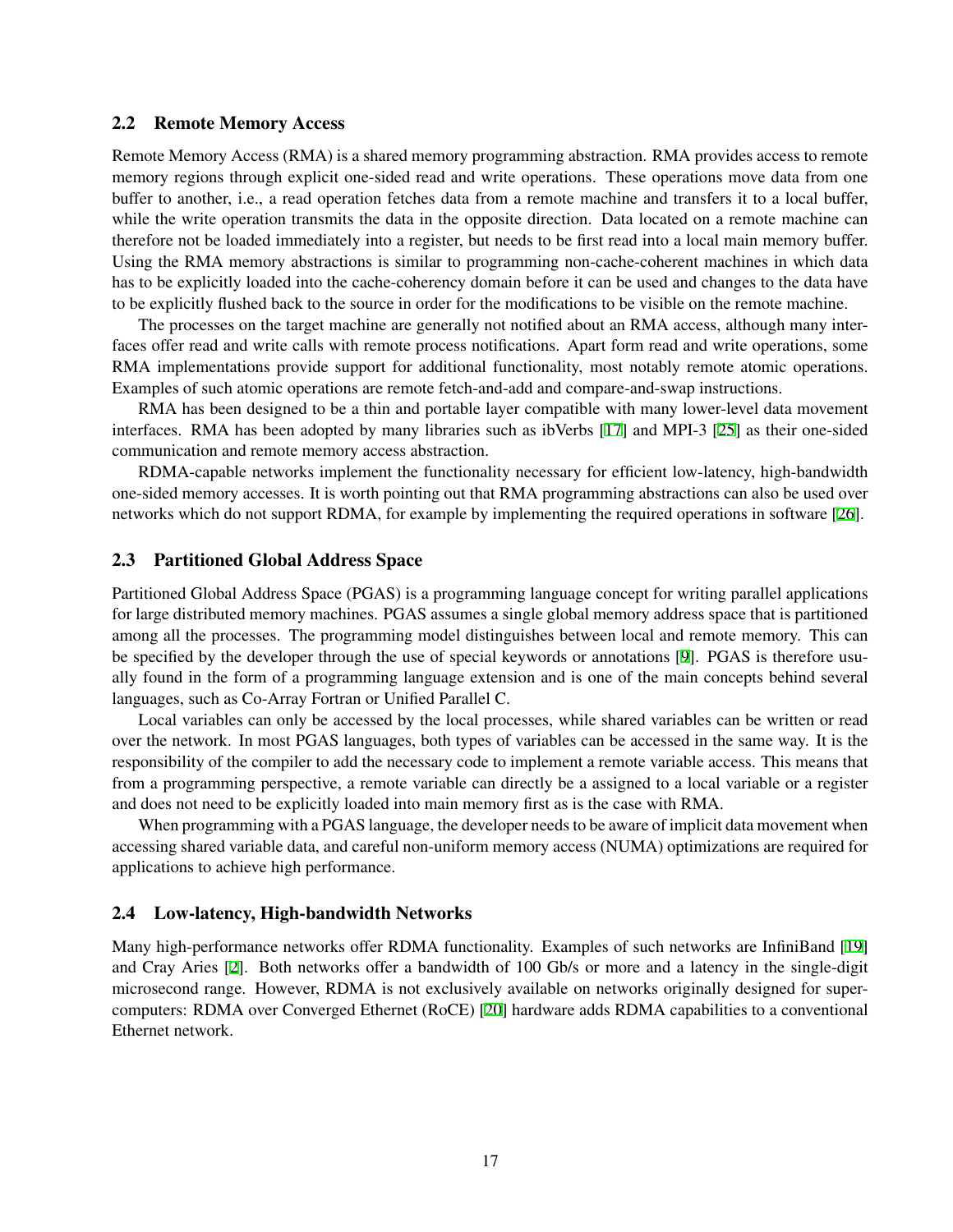#### 2.2 Remote Memory Access

Remote Memory Access (RMA) is a shared memory programming abstraction. RMA provides access to remote memory regions through explicit one-sided read and write operations. These operations move data from one buffer to another, i.e., a read operation fetches data from a remote machine and transfers it to a local buffer, while the write operation transmits the data in the opposite direction. Data located on a remote machine can therefore not be loaded immediately into a register, but needs to be first read into a local main memory buffer. Using the RMA memory abstractions is similar to programming non-cache-coherent machines in which data has to be explicitly loaded into the cache-coherency domain before it can be used and changes to the data have to be explicitly flushed back to the source in order for the modifications to be visible on the remote machine.

The processes on the target machine are generally not notified about an RMA access, although many interfaces offer read and write calls with remote process notifications. Apart form read and write operations, some RMA implementations provide support for additional functionality, most notably remote atomic operations. Examples of such atomic operations are remote fetch-and-add and compare-and-swap instructions.

RMA has been designed to be a thin and portable layer compatible with many lower-level data movement interfaces. RMA has been adopted by many libraries such as ibVerbs [[17\]](#page-11-5) and MPI-3 [[25](#page-11-6)] as their one-sided communication and remote memory access abstraction.

RDMA-capable networks implement the functionality necessary for efficient low-latency, high-bandwidth one-sided memory accesses. It is worth pointing out that RMA programming abstractions can also be used over networks which do not support RDMA, for example by implementing the required operations in software [\[26](#page-11-12)].

#### 2.3 Partitioned Global Address Space

Partitioned Global Address Space (PGAS) is a programming language concept for writing parallel applications for large distributed memory machines. PGAS assumes a single global memory address space that is partitioned among all the processes. The programming model distinguishes between local and remote memory. This can be specified by the developer through the use of special keywords or annotations [[9](#page-11-13)]. PGAS is therefore usually found in the form of a programming language extension and is one of the main concepts behind several languages, such as Co-Array Fortran or Unified Parallel C.

Local variables can only be accessed by the local processes, while shared variables can be written or read over the network. In most PGAS languages, both types of variables can be accessed in the same way. It is the responsibility of the compiler to add the necessary code to implement a remote variable access. This means that from a programming perspective, a remote variable can directly be a assigned to a local variable or a register and does not need to be explicitly loaded into main memory first as is the case with RMA.

When programming with a PGAS language, the developer needs to be aware of implicit data movement when accessing shared variable data, and careful non-uniform memory access (NUMA) optimizations are required for applications to achieve high performance.

#### 2.4 Low-latency, High-bandwidth Networks

Many high-performance networks offer RDMA functionality. Examples of such networks are InfiniBand [\[19](#page-11-14)] and Cray Aries [[2](#page-10-1)]. Both networks offer a bandwidth of 100 Gb/s or more and a latency in the single-digit microsecond range. However, RDMA is not exclusively available on networks originally designed for supercomputers: RDMA over Converged Ethernet (RoCE) [[20\]](#page-11-15) hardware adds RDMA capabilities to a conventional Ethernet network.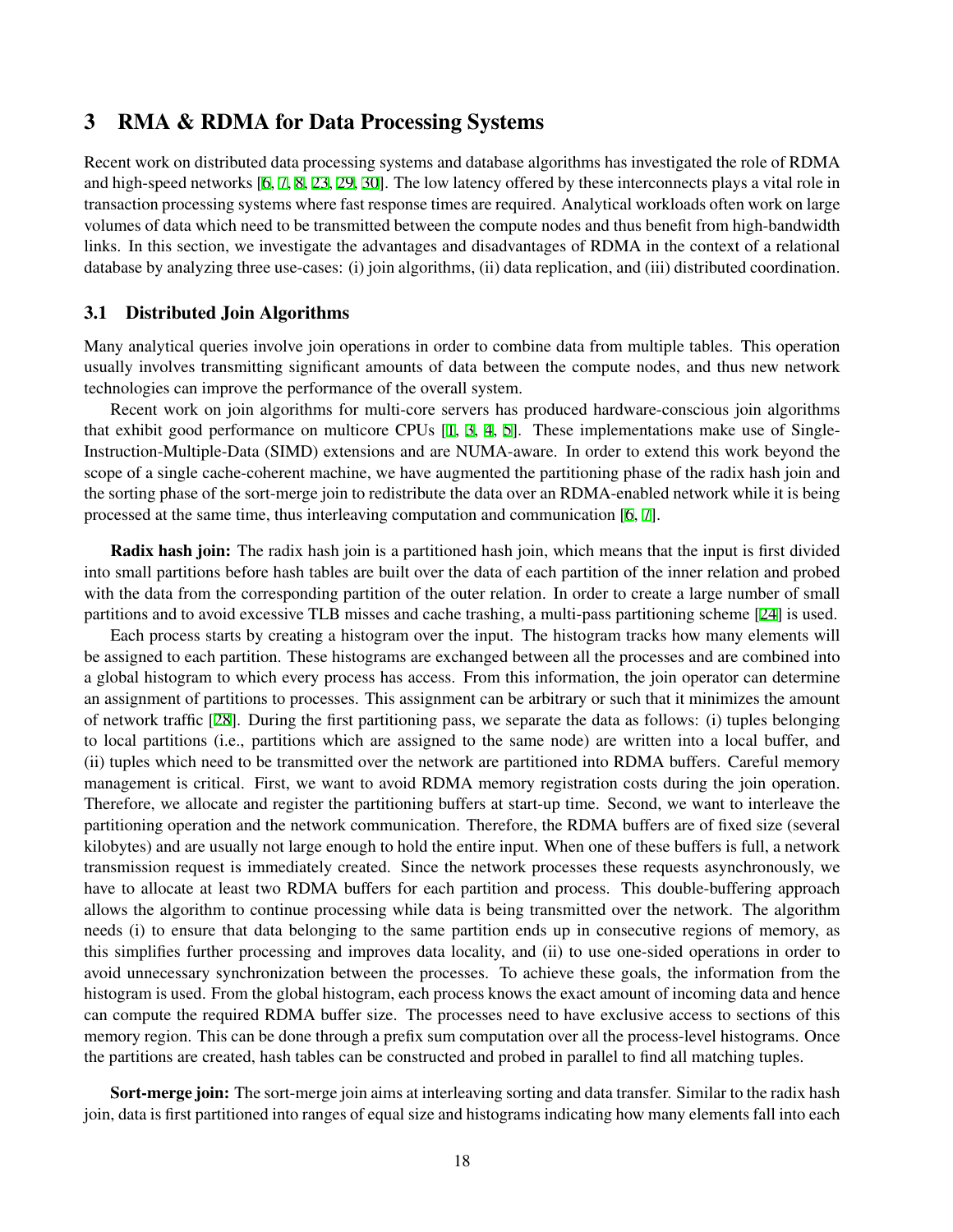### 3 RMA & RDMA for Data Processing Systems

Recent work on distributed data processing systems and database algorithms has investigated the role of RDMA and high-speed networks [[6,](#page-10-0) [7,](#page-11-0) [8](#page-11-2), [23](#page-11-3), [29](#page-11-1), [30\]](#page-11-4). The low latency offered by these interconnects plays a vital role in transaction processing systems where fast response times are required. Analytical workloads often work on large volumes of data which need to be transmitted between the compute nodes and thus benefit from high-bandwidth links. In this section, we investigate the advantages and disadvantages of RDMA in the context of a relational database by analyzing three use-cases: (i) join algorithms, (ii) data replication, and (iii) distributed coordination.

#### <span id="page-3-0"></span>3.1 Distributed Join Algorithms

Many analytical queries involve join operations in order to combine data from multiple tables. This operation usually involves transmitting significant amounts of data between the compute nodes, and thus new network technologies can improve the performance of the overall system.

Recent work on join algorithms for multi-core servers has produced hardware-conscious join algorithms that exhibit good performance on multicore CPUs [\[1,](#page-10-2) [3,](#page-10-3) [4,](#page-10-4) [5](#page-10-5)]. These implementations make use of Single-Instruction-Multiple-Data (SIMD) extensions and are NUMA-aware. In order to extend this work beyond the scope of a single cache-coherent machine, we have augmented the partitioning phase of the radix hash join and the sorting phase of the sort-merge join to redistribute the data over an RDMA-enabled network while it is being processed at the same time, thus interleaving computation and communication [[6](#page-10-0), [7](#page-11-0)].

Radix hash join: The radix hash join is a partitioned hash join, which means that the input is first divided into small partitions before hash tables are built over the data of each partition of the inner relation and probed with the data from the corresponding partition of the outer relation. In order to create a large number of small partitions and to avoid excessive TLB misses and cache trashing, a multi-pass partitioning scheme [\[24](#page-11-16)] is used.

Each process starts by creating a histogram over the input. The histogram tracks how many elements will be assigned to each partition. These histograms are exchanged between all the processes and are combined into a global histogram to which every process has access. From this information, the join operator can determine an assignment of partitions to processes. This assignment can be arbitrary or such that it minimizes the amount of network traffic [[28\]](#page-11-17). During the first partitioning pass, we separate the data as follows: (i) tuples belonging to local partitions (i.e., partitions which are assigned to the same node) are written into a local buffer, and (ii) tuples which need to be transmitted over the network are partitioned into RDMA buffers. Careful memory management is critical. First, we want to avoid RDMA memory registration costs during the join operation. Therefore, we allocate and register the partitioning buffers at start-up time. Second, we want to interleave the partitioning operation and the network communication. Therefore, the RDMA buffers are of fixed size (several kilobytes) and are usually not large enough to hold the entire input. When one of these buffers is full, a network transmission request is immediately created. Since the network processes these requests asynchronously, we have to allocate at least two RDMA buffers for each partition and process. This double-buffering approach allows the algorithm to continue processing while data is being transmitted over the network. The algorithm needs (i) to ensure that data belonging to the same partition ends up in consecutive regions of memory, as this simplifies further processing and improves data locality, and (ii) to use one-sided operations in order to avoid unnecessary synchronization between the processes. To achieve these goals, the information from the histogram is used. From the global histogram, each process knows the exact amount of incoming data and hence can compute the required RDMA buffer size. The processes need to have exclusive access to sections of this memory region. This can be done through a prefix sum computation over all the process-level histograms. Once the partitions are created, hash tables can be constructed and probed in parallel to find all matching tuples.

Sort-merge join: The sort-merge join aims at interleaving sorting and data transfer. Similar to the radix hash join, data is first partitioned into ranges of equal size and histograms indicating how many elements fall into each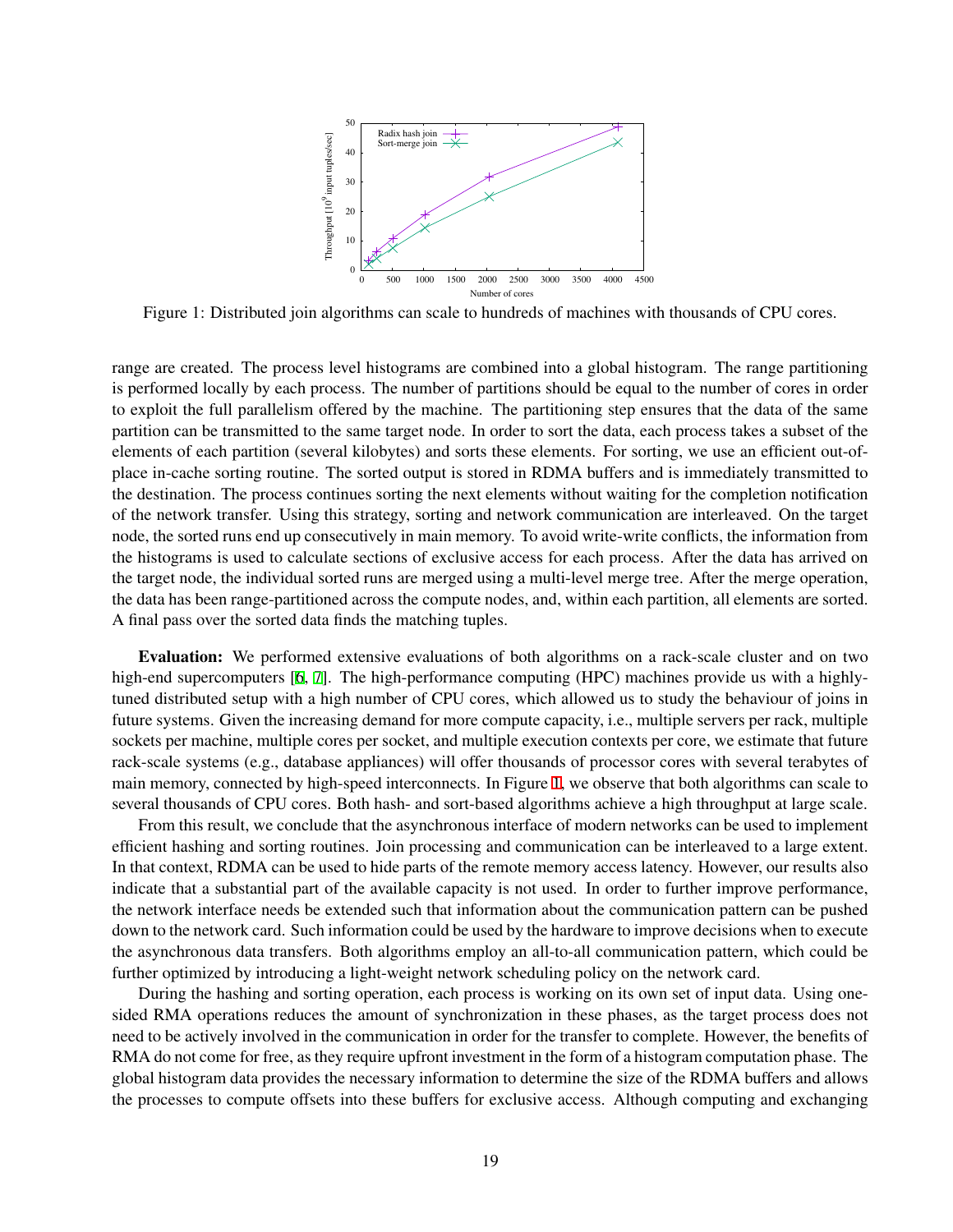<span id="page-4-0"></span>

Figure 1: Distributed join algorithms can scale to hundreds of machines with thousands of CPU cores.

range are created. The process level histograms are combined into a global histogram. The range partitioning is performed locally by each process. The number of partitions should be equal to the number of cores in order to exploit the full parallelism offered by the machine. The partitioning step ensures that the data of the same partition can be transmitted to the same target node. In order to sort the data, each process takes a subset of the elements of each partition (several kilobytes) and sorts these elements. For sorting, we use an efficient out-ofplace in-cache sorting routine. The sorted output is stored in RDMA buffers and is immediately transmitted to the destination. The process continues sorting the next elements without waiting for the completion notification of the network transfer. Using this strategy, sorting and network communication are interleaved. On the target node, the sorted runs end up consecutively in main memory. To avoid write-write conflicts, the information from the histograms is used to calculate sections of exclusive access for each process. After the data has arrived on the target node, the individual sorted runs are merged using a multi-level merge tree. After the merge operation, the data has been range-partitioned across the compute nodes, and, within each partition, all elements are sorted. A final pass over the sorted data finds the matching tuples.

Evaluation: We performed extensive evaluations of both algorithms on a rack-scale cluster and on two high-end supercomputers [\[6,](#page-10-0) [7\]](#page-11-0). The high-performance computing (HPC) machines provide us with a highlytuned distributed setup with a high number of CPU cores, which allowed us to study the behaviour of joins in future systems. Given the increasing demand for more compute capacity, i.e., multiple servers per rack, multiple sockets per machine, multiple cores per socket, and multiple execution contexts per core, we estimate that future rack-scale systems (e.g., database appliances) will offer thousands of processor cores with several terabytes of main memory, connected by high-speed interconnects. In Figure [1](#page-4-0), we observe that both algorithms can scale to several thousands of CPU cores. Both hash- and sort-based algorithms achieve a high throughput at large scale.

From this result, we conclude that the asynchronous interface of modern networks can be used to implement efficient hashing and sorting routines. Join processing and communication can be interleaved to a large extent. In that context, RDMA can be used to hide parts of the remote memory access latency. However, our results also indicate that a substantial part of the available capacity is not used. In order to further improve performance, the network interface needs be extended such that information about the communication pattern can be pushed down to the network card. Such information could be used by the hardware to improve decisions when to execute the asynchronous data transfers. Both algorithms employ an all-to-all communication pattern, which could be further optimized by introducing a light-weight network scheduling policy on the network card.

During the hashing and sorting operation, each process is working on its own set of input data. Using onesided RMA operations reduces the amount of synchronization in these phases, as the target process does not need to be actively involved in the communication in order for the transfer to complete. However, the benefits of RMA do not come for free, as they require upfront investment in the form of a histogram computation phase. The global histogram data provides the necessary information to determine the size of the RDMA buffers and allows the processes to compute offsets into these buffers for exclusive access. Although computing and exchanging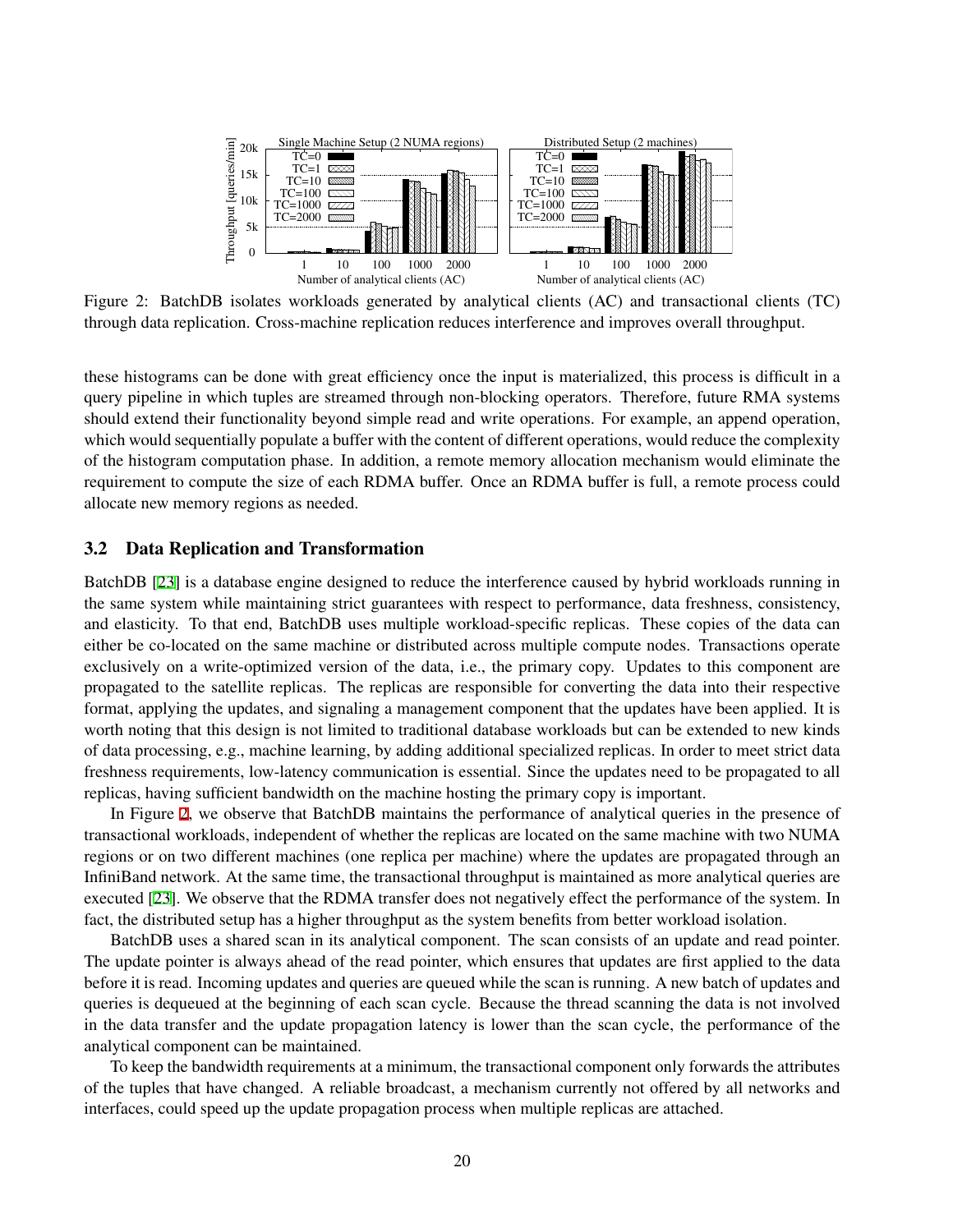<span id="page-5-0"></span>

Figure 2: BatchDB isolates workloads generated by analytical clients (AC) and transactional clients (TC) through data replication. Cross-machine replication reduces interference and improves overall throughput.

these histograms can be done with great efficiency once the input is materialized, this process is difficult in a query pipeline in which tuples are streamed through non-blocking operators. Therefore, future RMA systems should extend their functionality beyond simple read and write operations. For example, an append operation, which would sequentially populate a buffer with the content of different operations, would reduce the complexity of the histogram computation phase. In addition, a remote memory allocation mechanism would eliminate the requirement to compute the size of each RDMA buffer. Once an RDMA buffer is full, a remote process could allocate new memory regions as needed.

#### <span id="page-5-1"></span>3.2 Data Replication and Transformation

BatchDB [\[23](#page-11-3)] is a database engine designed to reduce the interference caused by hybrid workloads running in the same system while maintaining strict guarantees with respect to performance, data freshness, consistency, and elasticity. To that end, BatchDB uses multiple workload-specific replicas. These copies of the data can either be co-located on the same machine or distributed across multiple compute nodes. Transactions operate exclusively on a write-optimized version of the data, i.e., the primary copy. Updates to this component are propagated to the satellite replicas. The replicas are responsible for converting the data into their respective format, applying the updates, and signaling a management component that the updates have been applied. It is worth noting that this design is not limited to traditional database workloads but can be extended to new kinds of data processing, e.g., machine learning, by adding additional specialized replicas. In order to meet strict data freshness requirements, low-latency communication is essential. Since the updates need to be propagated to all replicas, having sufficient bandwidth on the machine hosting the primary copy is important.

In Figure [2](#page-5-0), we observe that BatchDB maintains the performance of analytical queries in the presence of transactional workloads, independent of whether the replicas are located on the same machine with two NUMA regions or on two different machines (one replica per machine) where the updates are propagated through an InfiniBand network. At the same time, the transactional throughput is maintained as more analytical queries are executed [[23\]](#page-11-3). We observe that the RDMA transfer does not negatively effect the performance of the system. In fact, the distributed setup has a higher throughput as the system benefits from better workload isolation.

BatchDB uses a shared scan in its analytical component. The scan consists of an update and read pointer. The update pointer is always ahead of the read pointer, which ensures that updates are first applied to the data before it is read. Incoming updates and queries are queued while the scan is running. A new batch of updates and queries is dequeued at the beginning of each scan cycle. Because the thread scanning the data is not involved in the data transfer and the update propagation latency is lower than the scan cycle, the performance of the analytical component can be maintained.

To keep the bandwidth requirements at a minimum, the transactional component only forwards the attributes of the tuples that have changed. A reliable broadcast, a mechanism currently not offered by all networks and interfaces, could speed up the update propagation process when multiple replicas are attached.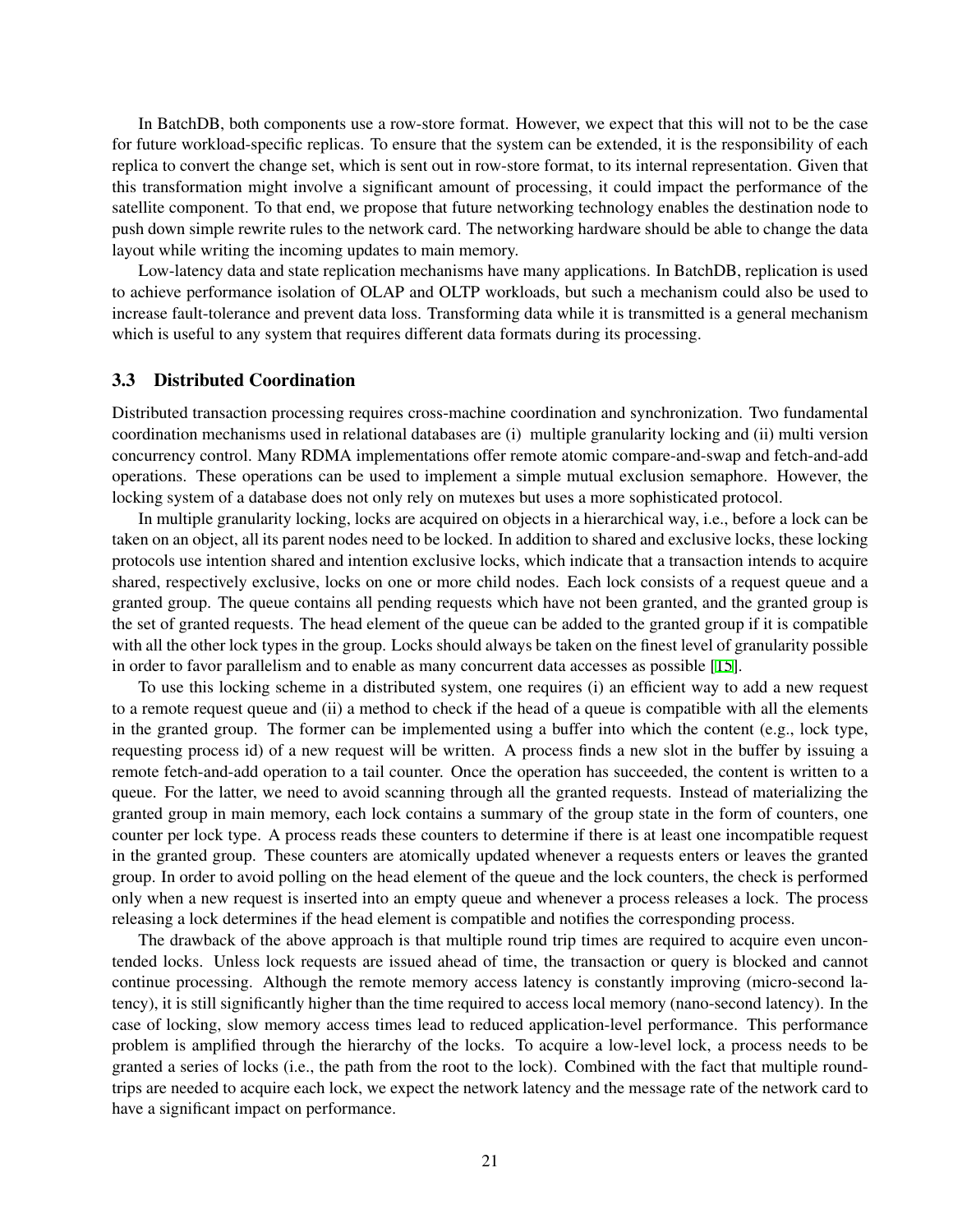In BatchDB, both components use a row-store format. However, we expect that this will not to be the case for future workload-specific replicas. To ensure that the system can be extended, it is the responsibility of each replica to convert the change set, which is sent out in row-store format, to its internal representation. Given that this transformation might involve a significant amount of processing, it could impact the performance of the satellite component. To that end, we propose that future networking technology enables the destination node to push down simple rewrite rules to the network card. The networking hardware should be able to change the data layout while writing the incoming updates to main memory.

Low-latency data and state replication mechanisms have many applications. In BatchDB, replication is used to achieve performance isolation of OLAP and OLTP workloads, but such a mechanism could also be used to increase fault-tolerance and prevent data loss. Transforming data while it is transmitted is a general mechanism which is useful to any system that requires different data formats during its processing.

#### <span id="page-6-0"></span>3.3 Distributed Coordination

Distributed transaction processing requires cross-machine coordination and synchronization. Two fundamental coordination mechanisms used in relational databases are (i) multiple granularity locking and (ii) multi version concurrency control. Many RDMA implementations offer remote atomic compare-and-swap and fetch-and-add operations. These operations can be used to implement a simple mutual exclusion semaphore. However, the locking system of a database does not only rely on mutexes but uses a more sophisticated protocol.

In multiple granularity locking, locks are acquired on objects in a hierarchical way, i.e., before a lock can be taken on an object, all its parent nodes need to be locked. In addition to shared and exclusive locks, these locking protocols use intention shared and intention exclusive locks, which indicate that a transaction intends to acquire shared, respectively exclusive, locks on one or more child nodes. Each lock consists of a request queue and a granted group. The queue contains all pending requests which have not been granted, and the granted group is the set of granted requests. The head element of the queue can be added to the granted group if it is compatible with all the other lock types in the group. Locks should always be taken on the finest level of granularity possible in order to favor parallelism and to enable as many concurrent data accesses as possible [[15\]](#page-11-18).

To use this locking scheme in a distributed system, one requires (i) an efficient way to add a new request to a remote request queue and (ii) a method to check if the head of a queue is compatible with all the elements in the granted group. The former can be implemented using a buffer into which the content (e.g., lock type, requesting process id) of a new request will be written. A process finds a new slot in the buffer by issuing a remote fetch-and-add operation to a tail counter. Once the operation has succeeded, the content is written to a queue. For the latter, we need to avoid scanning through all the granted requests. Instead of materializing the granted group in main memory, each lock contains a summary of the group state in the form of counters, one counter per lock type. A process reads these counters to determine if there is at least one incompatible request in the granted group. These counters are atomically updated whenever a requests enters or leaves the granted group. In order to avoid polling on the head element of the queue and the lock counters, the check is performed only when a new request is inserted into an empty queue and whenever a process releases a lock. The process releasing a lock determines if the head element is compatible and notifies the corresponding process.

The drawback of the above approach is that multiple round trip times are required to acquire even uncontended locks. Unless lock requests are issued ahead of time, the transaction or query is blocked and cannot continue processing. Although the remote memory access latency is constantly improving (micro-second latency), it is still significantly higher than the time required to access local memory (nano-second latency). In the case of locking, slow memory access times lead to reduced application-level performance. This performance problem is amplified through the hierarchy of the locks. To acquire a low-level lock, a process needs to be granted a series of locks (i.e., the path from the root to the lock). Combined with the fact that multiple roundtrips are needed to acquire each lock, we expect the network latency and the message rate of the network card to have a significant impact on performance.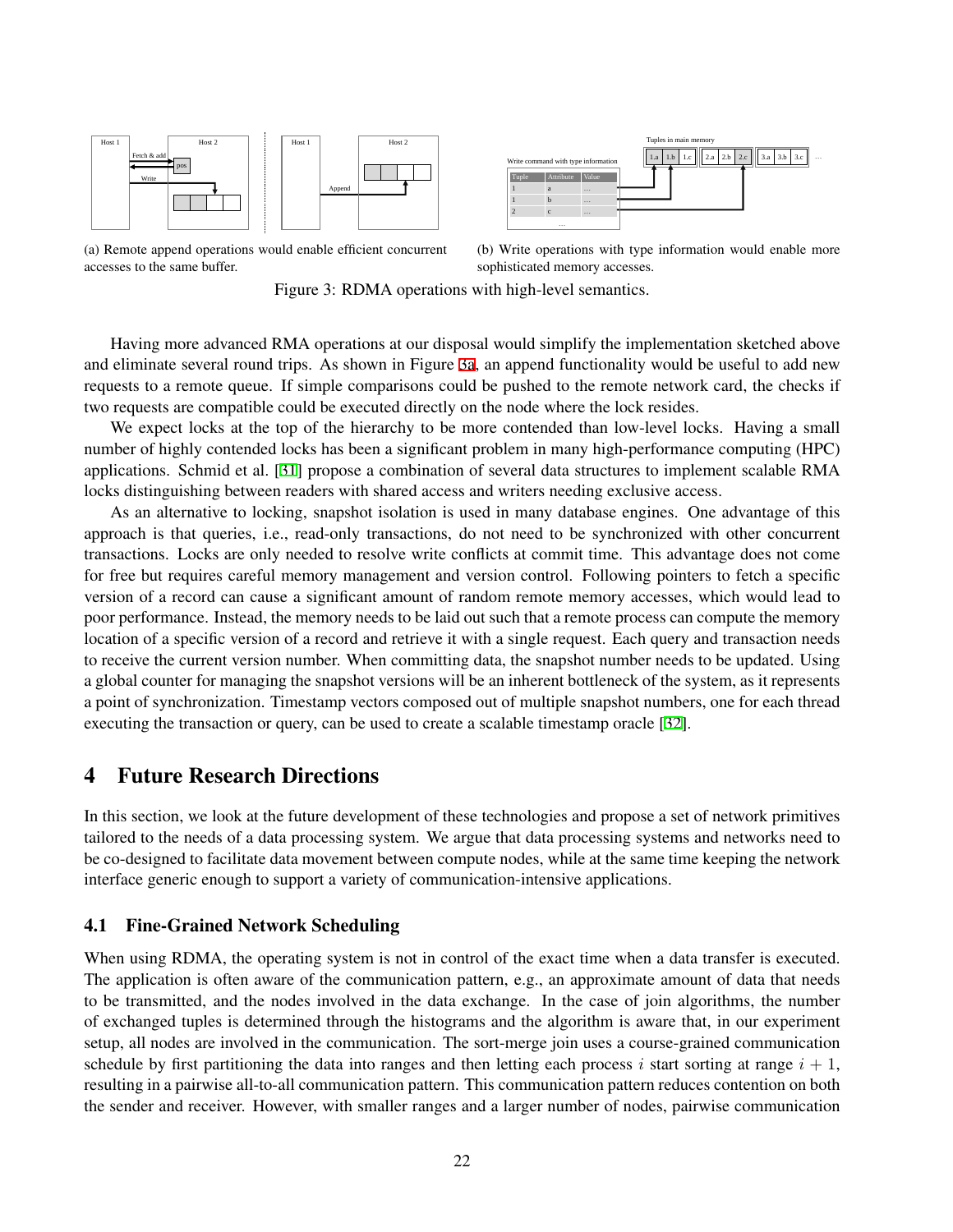<span id="page-7-0"></span>

Tuple | Attribute | Value 1 a … 1 **b** … 2 c … Write command with type information  $\left\| \begin{array}{c} 1 \text{a} & 1 \text{b} & 1 \text{c} \\ 1 & 1 \text{c} & 2 \text{a} & 2 \text{b} & 2 \text{c} \\ 1 & 2 & 2 \text{c} & 3 \text{a} & 3 \text{b} & 3 \text{c} \end{array} \right\|$ Tuples in main memory

(a) Remote append operations would enable efficient concurrent accesses to the same buffer.

<span id="page-7-1"></span>(b) Write operations with type information would enable more sophisticated memory accesses.

Figure 3: RDMA operations with high-level semantics.

Having more advanced RMA operations at our disposal would simplify the implementation sketched above and eliminate several round trips. As shown in Figure [3a](#page-7-0), an append functionality would be useful to add new requests to a remote queue. If simple comparisons could be pushed to the remote network card, the checks if two requests are compatible could be executed directly on the node where the lock resides.

We expect locks at the top of the hierarchy to be more contended than low-level locks. Having a small number of highly contended locks has been a significant problem in many high-performance computing (HPC) applications. Schmid et al. [[31\]](#page-11-19) propose a combination of several data structures to implement scalable RMA locks distinguishing between readers with shared access and writers needing exclusive access.

As an alternative to locking, snapshot isolation is used in many database engines. One advantage of this approach is that queries, i.e., read-only transactions, do not need to be synchronized with other concurrent transactions. Locks are only needed to resolve write conflicts at commit time. This advantage does not come for free but requires careful memory management and version control. Following pointers to fetch a specific version of a record can cause a significant amount of random remote memory accesses, which would lead to poor performance. Instead, the memory needs to be laid out such that a remote process can compute the memory location of a specific version of a record and retrieve it with a single request. Each query and transaction needs to receive the current version number. When committing data, the snapshot number needs to be updated. Using a global counter for managing the snapshot versions will be an inherent bottleneck of the system, as it represents a point of synchronization. Timestamp vectors composed out of multiple snapshot numbers, one for each thread executing the transaction or query, can be used to create a scalable timestamp oracle [\[32](#page-11-20)].

## 4 Future Research Directions

In this section, we look at the future development of these technologies and propose a set of network primitives tailored to the needs of a data processing system. We argue that data processing systems and networks need to be co-designed to facilitate data movement between compute nodes, while at the same time keeping the network interface generic enough to support a variety of communication-intensive applications.

### 4.1 Fine-Grained Network Scheduling

When using RDMA, the operating system is not in control of the exact time when a data transfer is executed. The application is often aware of the communication pattern, e.g., an approximate amount of data that needs to be transmitted, and the nodes involved in the data exchange. In the case of join algorithms, the number of exchanged tuples is determined through the histograms and the algorithm is aware that, in our experiment setup, all nodes are involved in the communication. The sort-merge join uses a course-grained communication schedule by first partitioning the data into ranges and then letting each process  $i$  start sorting at range  $i + 1$ , resulting in a pairwise all-to-all communication pattern. This communication pattern reduces contention on both the sender and receiver. However, with smaller ranges and a larger number of nodes, pairwise communication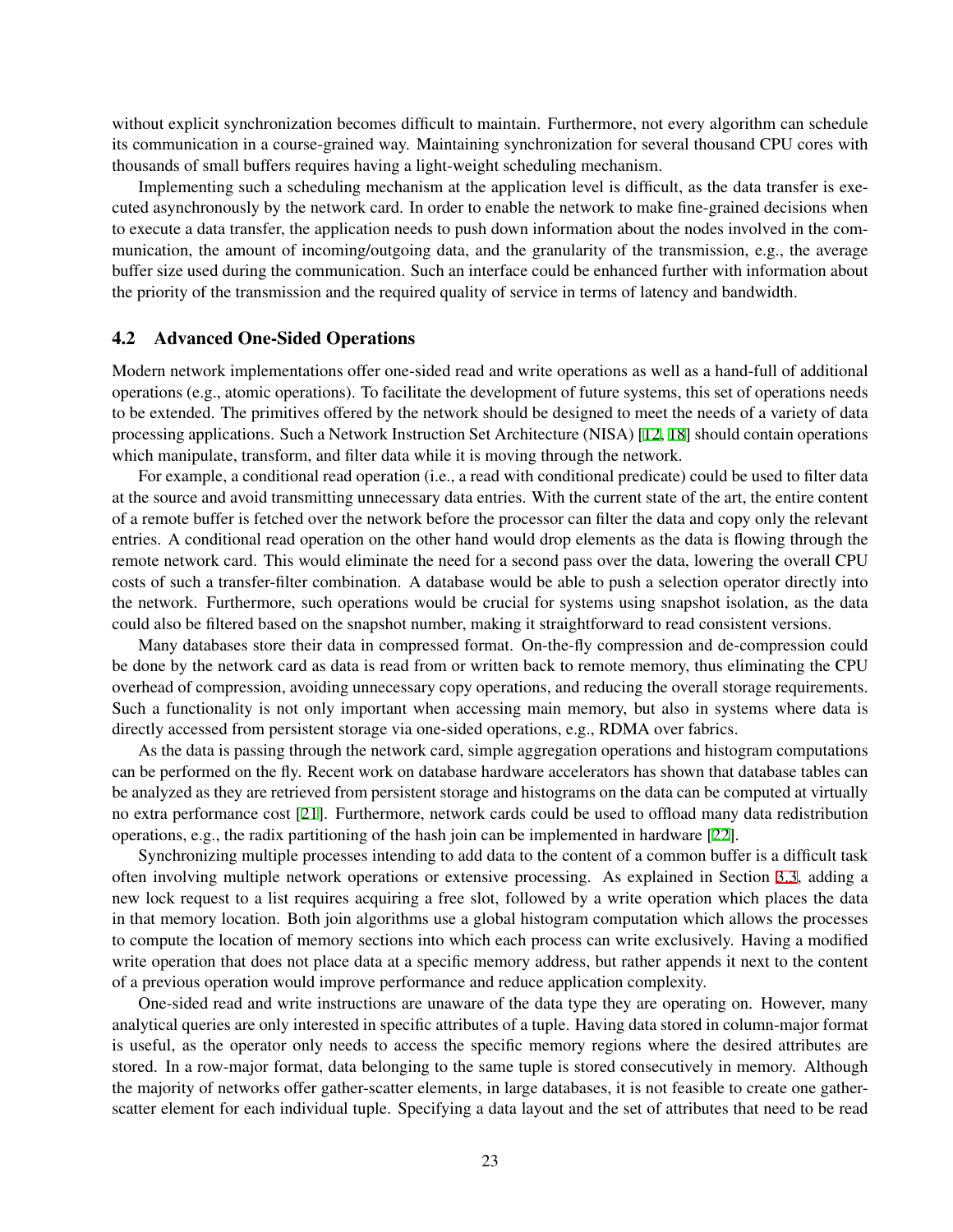without explicit synchronization becomes difficult to maintain. Furthermore, not every algorithm can schedule its communication in a course-grained way. Maintaining synchronization for several thousand CPU cores with thousands of small buffers requires having a light-weight scheduling mechanism.

Implementing such a scheduling mechanism at the application level is difficult, as the data transfer is executed asynchronously by the network card. In order to enable the network to make fine-grained decisions when to execute a data transfer, the application needs to push down information about the nodes involved in the communication, the amount of incoming/outgoing data, and the granularity of the transmission, e.g., the average buffer size used during the communication. Such an interface could be enhanced further with information about the priority of the transmission and the required quality of service in terms of latency and bandwidth.

#### <span id="page-8-0"></span>4.2 Advanced One-Sided Operations

Modern network implementations offer one-sided read and write operations as well as a hand-full of additional operations (e.g., atomic operations). To facilitate the development of future systems, this set of operations needs to be extended. The primitives offered by the network should be designed to meet the needs of a variety of data processing applications. Such a Network Instruction Set Architecture (NISA) [[12](#page-11-7), [18](#page-11-8)] should contain operations which manipulate, transform, and filter data while it is moving through the network.

For example, a conditional read operation (i.e., a read with conditional predicate) could be used to filter data at the source and avoid transmitting unnecessary data entries. With the current state of the art, the entire content of a remote buffer is fetched over the network before the processor can filter the data and copy only the relevant entries. A conditional read operation on the other hand would drop elements as the data is flowing through the remote network card. This would eliminate the need for a second pass over the data, lowering the overall CPU costs of such a transfer-filter combination. A database would be able to push a selection operator directly into the network. Furthermore, such operations would be crucial for systems using snapshot isolation, as the data could also be filtered based on the snapshot number, making it straightforward to read consistent versions.

Many databases store their data in compressed format. On-the-fly compression and de-compression could be done by the network card as data is read from or written back to remote memory, thus eliminating the CPU overhead of compression, avoiding unnecessary copy operations, and reducing the overall storage requirements. Such a functionality is not only important when accessing main memory, but also in systems where data is directly accessed from persistent storage via one-sided operations, e.g., RDMA over fabrics.

As the data is passing through the network card, simple aggregation operations and histogram computations can be performed on the fly. Recent work on database hardware accelerators has shown that database tables can be analyzed as they are retrieved from persistent storage and histograms on the data can be computed at virtually no extra performance cost [[21\]](#page-11-21). Furthermore, network cards could be used to offload many data redistribution operations, e.g., the radix partitioning of the hash join can be implemented in hardware [[22\]](#page-11-22).

Synchronizing multiple processes intending to add data to the content of a common buffer is a difficult task often involving multiple network operations or extensive processing. As explained in Section [3.3](#page-6-0), adding a new lock request to a list requires acquiring a free slot, followed by a write operation which places the data in that memory location. Both join algorithms use a global histogram computation which allows the processes to compute the location of memory sections into which each process can write exclusively. Having a modified write operation that does not place data at a specific memory address, but rather appends it next to the content of a previous operation would improve performance and reduce application complexity.

One-sided read and write instructions are unaware of the data type they are operating on. However, many analytical queries are only interested in specific attributes of a tuple. Having data stored in column-major format is useful, as the operator only needs to access the specific memory regions where the desired attributes are stored. In a row-major format, data belonging to the same tuple is stored consecutively in memory. Although the majority of networks offer gather-scatter elements, in large databases, it is not feasible to create one gatherscatter element for each individual tuple. Specifying a data layout and the set of attributes that need to be read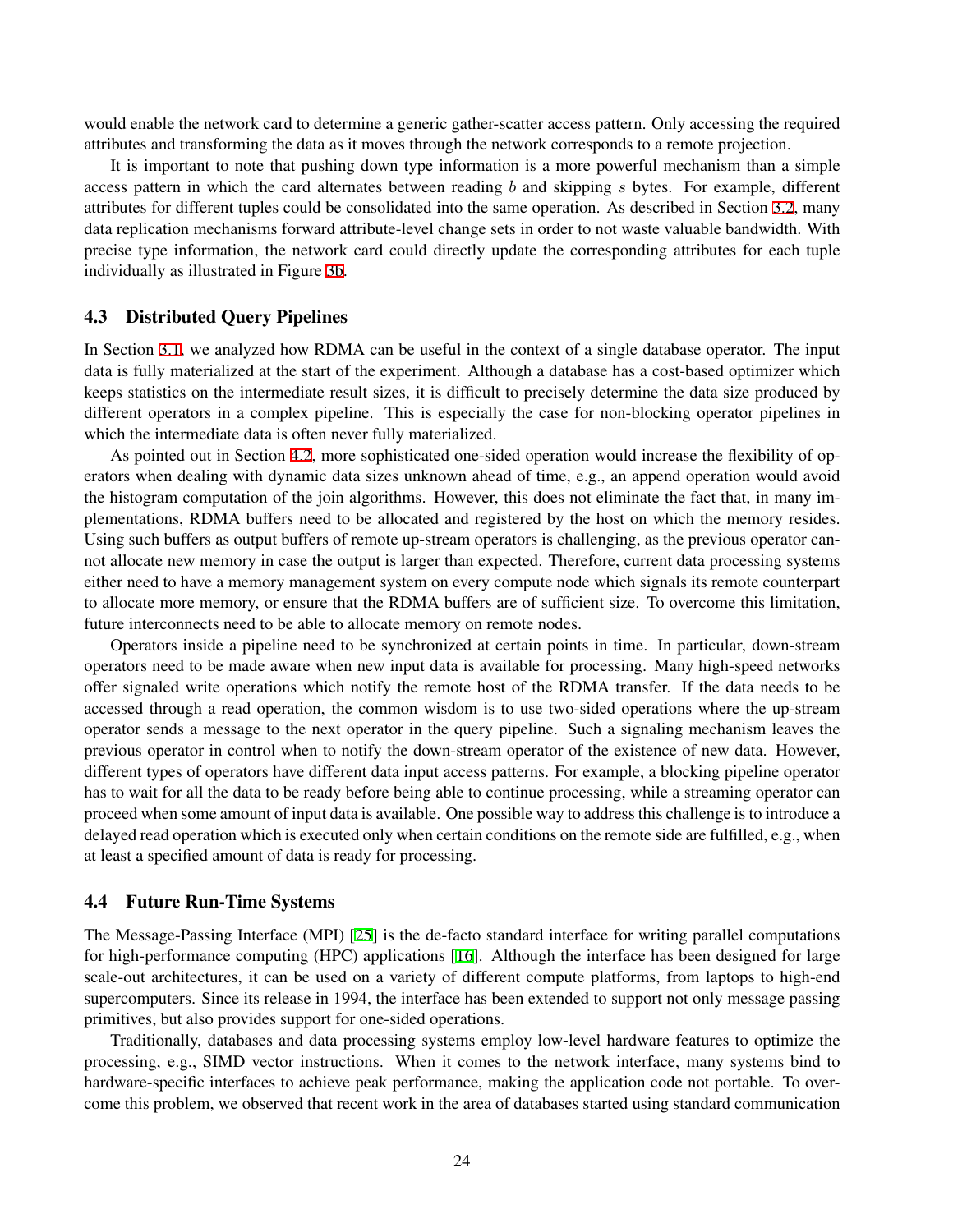would enable the network card to determine a generic gather-scatter access pattern. Only accessing the required attributes and transforming the data as it moves through the network corresponds to a remote projection.

It is important to note that pushing down type information is a more powerful mechanism than a simple access pattern in which the card alternates between reading *b* and skipping *s* bytes. For example, different attributes for different tuples could be consolidated into the same operation. As described in Section [3.2](#page-5-1), many data replication mechanisms forward attribute-level change sets in order to not waste valuable bandwidth. With precise type information, the network card could directly update the corresponding attributes for each tuple individually as illustrated in Figure [3b.](#page-7-1)

#### 4.3 Distributed Query Pipelines

In Section [3.1,](#page-3-0) we analyzed how RDMA can be useful in the context of a single database operator. The input data is fully materialized at the start of the experiment. Although a database has a cost-based optimizer which keeps statistics on the intermediate result sizes, it is difficult to precisely determine the data size produced by different operators in a complex pipeline. This is especially the case for non-blocking operator pipelines in which the intermediate data is often never fully materialized.

As pointed out in Section [4.2](#page-8-0), more sophisticated one-sided operation would increase the flexibility of operators when dealing with dynamic data sizes unknown ahead of time, e.g., an append operation would avoid the histogram computation of the join algorithms. However, this does not eliminate the fact that, in many implementations, RDMA buffers need to be allocated and registered by the host on which the memory resides. Using such buffers as output buffers of remote up-stream operators is challenging, as the previous operator cannot allocate new memory in case the output is larger than expected. Therefore, current data processing systems either need to have a memory management system on every compute node which signals its remote counterpart to allocate more memory, or ensure that the RDMA buffers are of sufficient size. To overcome this limitation, future interconnects need to be able to allocate memory on remote nodes.

Operators inside a pipeline need to be synchronized at certain points in time. In particular, down-stream operators need to be made aware when new input data is available for processing. Many high-speed networks offer signaled write operations which notify the remote host of the RDMA transfer. If the data needs to be accessed through a read operation, the common wisdom is to use two-sided operations where the up-stream operator sends a message to the next operator in the query pipeline. Such a signaling mechanism leaves the previous operator in control when to notify the down-stream operator of the existence of new data. However, different types of operators have different data input access patterns. For example, a blocking pipeline operator has to wait for all the data to be ready before being able to continue processing, while a streaming operator can proceed when some amount of input data is available. One possible way to address this challenge is to introduce a delayed read operation which is executed only when certain conditions on the remote side are fulfilled, e.g., when at least a specified amount of data is ready for processing.

#### 4.4 Future Run-Time Systems

The Message-Passing Interface (MPI) [\[25](#page-11-6)] is the de-facto standard interface for writing parallel computations for high-performance computing (HPC) applications [\[16](#page-11-23)]. Although the interface has been designed for large scale-out architectures, it can be used on a variety of different compute platforms, from laptops to high-end supercomputers. Since its release in 1994, the interface has been extended to support not only message passing primitives, but also provides support for one-sided operations.

Traditionally, databases and data processing systems employ low-level hardware features to optimize the processing, e.g., SIMD vector instructions. When it comes to the network interface, many systems bind to hardware-specific interfaces to achieve peak performance, making the application code not portable. To overcome this problem, we observed that recent work in the area of databases started using standard communication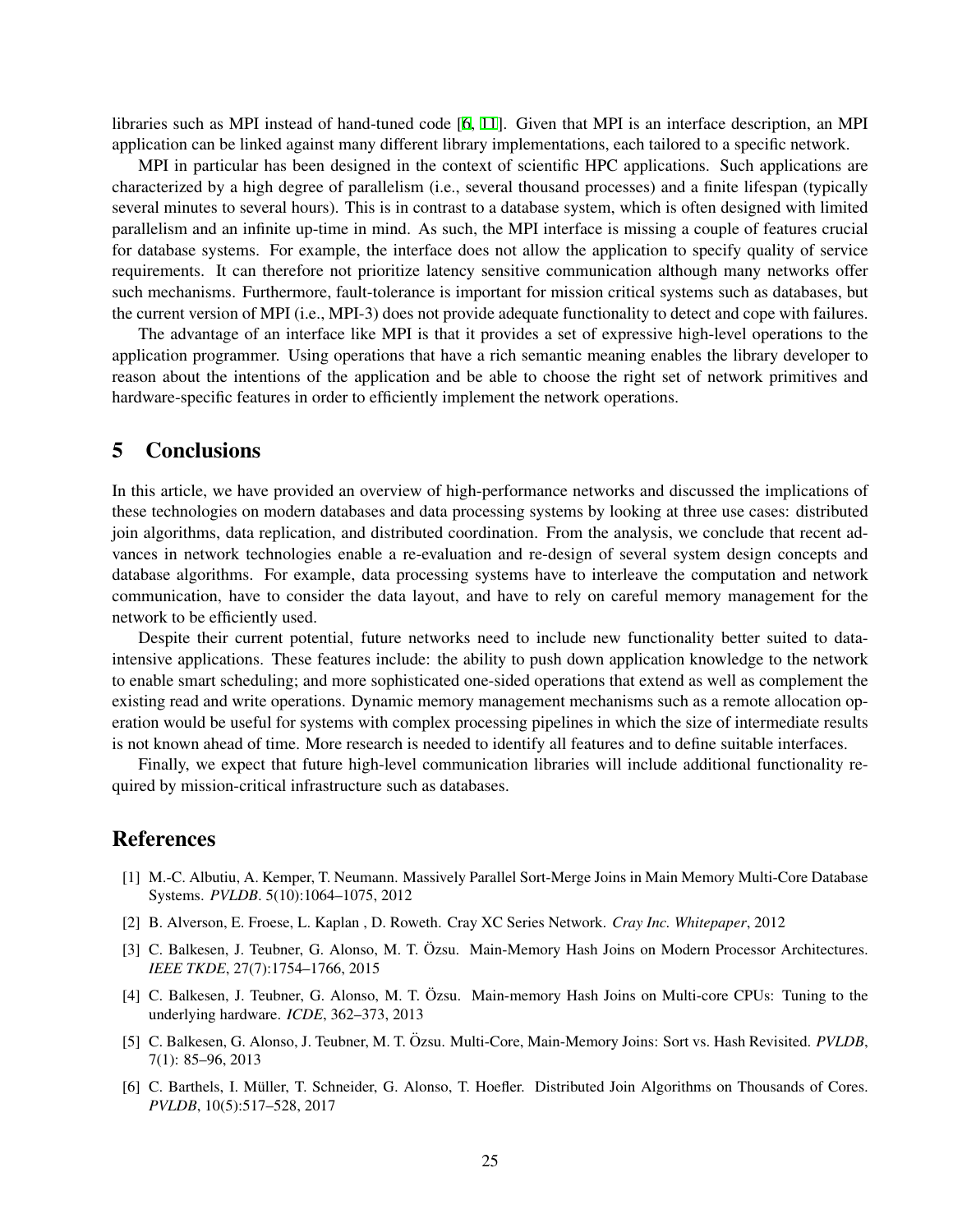libraries such as MPI instead of hand-tuned code [\[6,](#page-10-0) [11\]](#page-11-24). Given that MPI is an interface description, an MPI application can be linked against many different library implementations, each tailored to a specific network.

MPI in particular has been designed in the context of scientific HPC applications. Such applications are characterized by a high degree of parallelism (i.e., several thousand processes) and a finite lifespan (typically several minutes to several hours). This is in contrast to a database system, which is often designed with limited parallelism and an infinite up-time in mind. As such, the MPI interface is missing a couple of features crucial for database systems. For example, the interface does not allow the application to specify quality of service requirements. It can therefore not prioritize latency sensitive communication although many networks offer such mechanisms. Furthermore, fault-tolerance is important for mission critical systems such as databases, but the current version of MPI (i.e., MPI-3) does not provide adequate functionality to detect and cope with failures.

The advantage of an interface like MPI is that it provides a set of expressive high-level operations to the application programmer. Using operations that have a rich semantic meaning enables the library developer to reason about the intentions of the application and be able to choose the right set of network primitives and hardware-specific features in order to efficiently implement the network operations.

### 5 Conclusions

In this article, we have provided an overview of high-performance networks and discussed the implications of these technologies on modern databases and data processing systems by looking at three use cases: distributed join algorithms, data replication, and distributed coordination. From the analysis, we conclude that recent advances in network technologies enable a re-evaluation and re-design of several system design concepts and database algorithms. For example, data processing systems have to interleave the computation and network communication, have to consider the data layout, and have to rely on careful memory management for the network to be efficiently used.

Despite their current potential, future networks need to include new functionality better suited to dataintensive applications. These features include: the ability to push down application knowledge to the network to enable smart scheduling; and more sophisticated one-sided operations that extend as well as complement the existing read and write operations. Dynamic memory management mechanisms such as a remote allocation operation would be useful for systems with complex processing pipelines in which the size of intermediate results is not known ahead of time. More research is needed to identify all features and to define suitable interfaces.

Finally, we expect that future high-level communication libraries will include additional functionality required by mission-critical infrastructure such as databases.

### References

- <span id="page-10-2"></span>[1] M.-C. Albutiu, A. Kemper, T. Neumann. Massively Parallel Sort-Merge Joins in Main Memory Multi-Core Database Systems. *PVLDB*. 5(10):1064–1075, 2012
- <span id="page-10-1"></span>[2] B. Alverson, E. Froese, L. Kaplan , D. Roweth. Cray XC Series Network. *Cray Inc. Whitepaper*, 2012
- <span id="page-10-3"></span>[3] C. Balkesen, J. Teubner, G. Alonso, M. T. Özsu. Main-Memory Hash Joins on Modern Processor Architectures. *IEEE TKDE*, 27(7):1754–1766, 2015
- <span id="page-10-4"></span>[4] C. Balkesen, J. Teubner, G. Alonso, M. T. Özsu. Main-memory Hash Joins on Multi-core CPUs: Tuning to the underlying hardware. *ICDE*, 362–373, 2013
- <span id="page-10-5"></span>[5] C. Balkesen, G. Alonso, J. Teubner, M. T. Özsu. Multi-Core, Main-Memory Joins: Sort vs. Hash Revisited. *PVLDB*, 7(1): 85–96, 2013
- <span id="page-10-0"></span>[6] C. Barthels, I. Müller, T. Schneider, G. Alonso, T. Hoefler. Distributed Join Algorithms on Thousands of Cores. *PVLDB*, 10(5):517–528, 2017